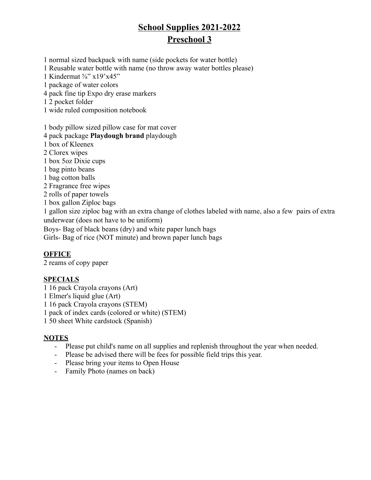# **School Supplies 2021-2022 Preschool 3**

1 normal sized backpack with name (side pockets for water bottle)

1 Reusable water bottle with name (no throw away water bottles please)

1 Kindermat ⅝" x19'x45"

1 package of water colors

4 pack fine tip Expo dry erase markers

1 2 pocket folder

1 wide ruled composition notebook

1 body pillow sized pillow case for mat cover

4 pack package **Playdough brand** playdough

1 box of Kleenex

2 Clorex wipes

1 box 5oz Dixie cups

1 bag pinto beans

1 bag cotton balls

2 Fragrance free wipes

2 rolls of paper towels

1 box gallon Ziploc bags

1 gallon size ziploc bag with an extra change of clothes labeled with name, also a few pairs of extra underwear (does not have to be uniform)

Boys- Bag of black beans (dry) and white paper lunch bags

Girls- Bag of rice (NOT minute) and brown paper lunch bags

### **OFFICE**

2 reams of copy paper

### **SPECIALS**

1 16 pack Crayola crayons (Art) 1 Elmer's liquid glue (Art) 1 16 pack Crayola crayons (STEM) 1 pack of index cards (colored or white) (STEM) 1 50 sheet White cardstock (Spanish)

- Please put child's name on all supplies and replenish throughout the year when needed.
- Please be advised there will be fees for possible field trips this year.
- Please bring your items to Open House
- Family Photo (names on back)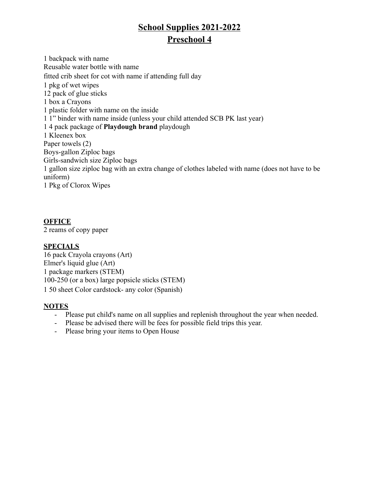## **School Supplies 2021-2022 Preschool 4**

1 backpack with name Reusable water bottle with name fitted crib sheet for cot with name if attending full day 1 pkg of wet wipes 12 pack of glue sticks 1 box a Crayons 1 plastic folder with name on the inside 1 1" binder with name inside (unless your child attended SCB PK last year) 1 4 pack package of **Playdough brand** playdough 1 Kleenex box Paper towels (2) Boys-gallon Ziploc bags Girls-sandwich size Ziploc bags 1 gallon size ziploc bag with an extra change of clothes labeled with name (does not have to be uniform) 1 Pkg of Clorox Wipes

## **OFFICE**

2 reams of copy paper

## **SPECIALS**

16 pack Crayola crayons (Art) Elmer's liquid glue (Art) 1 package markers (STEM) 100-250 (or a box) large popsicle sticks (STEM) 1 50 sheet Color cardstock- any color (Spanish)

- Please put child's name on all supplies and replenish throughout the year when needed.
- Please be advised there will be fees for possible field trips this year.
- Please bring your items to Open House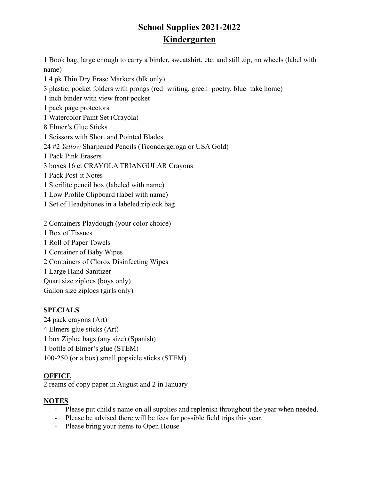## **School Supplies 2021-2022 Kindergarten**

1 Book bag, large enough to carry a binder, sweatshirt, etc. and still zip, no wheels (label with name)

1 4 pk Thin Dry Erase Markers (blk only)

3 plastic, pocket folders with prongs (red=writing, green=poetry, blue=take home)

- 1 inch binder with view front pocket
- 1 pack page protectors
- 1 Watercolor Paint Set (Crayola)
- 8 Elmer's Glue Sticks
- 1 Scissors with Short and Pointed Blades
- 24 #2 *Yellow* Sharpened Pencils (Ticondergeroga or USA Gold)
- 1 Pack Pink Erasers
- 3 boxes 16 ct CRAYOLA TRIANGULAR Crayons
- 1 Pack Post-it Notes
- 1 Sterilite pencil box (labeled with name)
- 1 Low Profile Clipboard (label with name)
- 1 Set of Headphones in a labeled ziplock bag
- 2 Containers Playdough (your color choice)
- 1 Box of Tissues
- 1 Roll of Paper Towels
- 1 Container of Baby Wipes
- 2 Containers of Clorox Disinfecting Wipes
- 1 Large Hand Sanitizer
- Quart size ziplocs (boys only)
- Gallon size ziplocs (girls only)

## **SPECIALS**

24 pack crayons (Art) 4 Elmers glue sticks (Art) 1 box Ziploc bags (any size) (Spanish) 1 bottle of Elmer's glue (STEM) 100-250 (or a box) small popsicle sticks (STEM)

## **OFFICE**

2 reams of copy paper in August and 2 in January

- Please put child's name on all supplies and replenish throughout the year when needed.
- Please be advised there will be fees for possible field trips this year.
- Please bring your items to Open House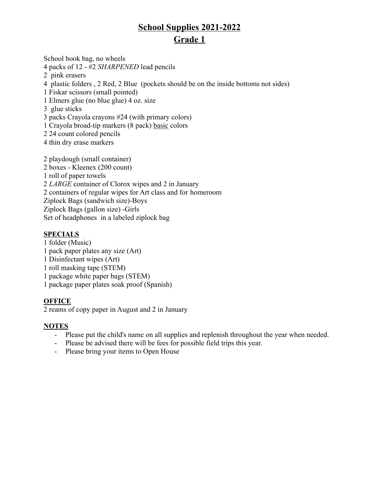School book bag, no wheels

4 packs of 12 - #2 *SHARPENED* lead pencils

- 2 pink erasers
- 4 plastic folders , 2 Red, 2 Blue (pockets should be on the inside bottoms not sides)
- 1 Fiskar scissors (small pointed)
- 1 Elmers glue (no blue glue) 4 oz. size
- 3 glue sticks
- 3 packs Crayola crayons #24 (with primary colors)
- 1 Crayola broad-tip markers (8 pack) basic colors
- 2 24 count colored pencils
- 4 thin dry erase markers
- 2 playdough (small container) 2 boxes - Kleenex (200 count) 1 roll of paper towels 2 *LARGE* container of Clorox wipes and 2 in January 2 containers of regular wipes for Art class and for homeroom Ziplock Bags (sandwich size)-Boys Ziplock Bags (gallon size) -Girls Set of headphones in a labeled ziplock bag

## **SPECIALS**

- 1 folder (Music)
- 1 pack paper plates any size (Art)
- 1 Disinfectant wipes (Art)
- 1 roll masking tape (STEM)
- 1 package white paper bags (STEM)

1 package paper plates soak proof (Spanish)

## **OFFICE**

2 reams of copy paper in August and 2 in January

- Please put the child's name on all supplies and replenish throughout the year when needed.
- Please be advised there will be fees for possible field trips this year.
- Please bring your items to Open House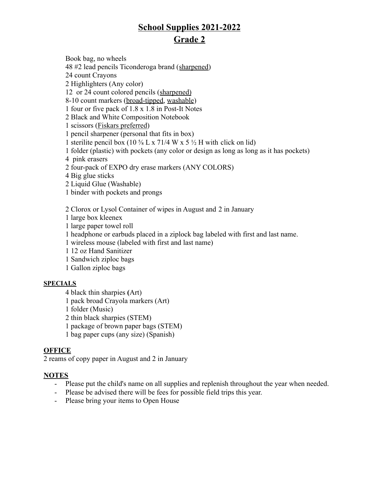Book bag, no wheels 48 #2 lead pencils Ticonderoga brand (sharpened) 24 count Crayons 2 Highlighters (Any color) 12 or 24 count colored pencils (sharpened) 8-10 count markers (broad-tipped, washable) 1 four or five pack of 1.8 x 1.8 in Post-It Notes 2 Black and White Composition Notebook 1 scissors (Fiskars preferred) 1 pencil sharpener (personal that fits in box) 1 sterilite pencil box (10  $\frac{5}{8}$  L x 71/4 W x 5  $\frac{1}{2}$  H with click on lid) 1 folder (plastic) with pockets (any color or design as long as long as it has pockets) 4 pink erasers 2 four-pack of EXPO dry erase markers (ANY COLORS) 4 Big glue sticks 2 Liquid Glue (Washable) 1 binder with pockets and prongs

2 Clorox or Lysol Container of wipes in August and 2 in January

1 large box kleenex

1 large paper towel roll

1 headphone or earbuds placed in a ziplock bag labeled with first and last name.

1 wireless mouse (labeled with first and last name)

1 12 oz Hand Sanitizer

1 Sandwich ziploc bags

1 Gallon ziploc bags

### **SPECIALS**

4 black thin sharpies **(**Art)

1 pack broad Crayola markers (Art)

1 folder (Music)

2 thin black sharpies (STEM)

1 package of brown paper bags (STEM)

1 bag paper cups (any size) (Spanish)

### **OFFICE**

2 reams of copy paper in August and 2 in January

- Please put the child's name on all supplies and replenish throughout the year when needed.
- Please be advised there will be fees for possible field trips this year.
- Please bring your items to Open House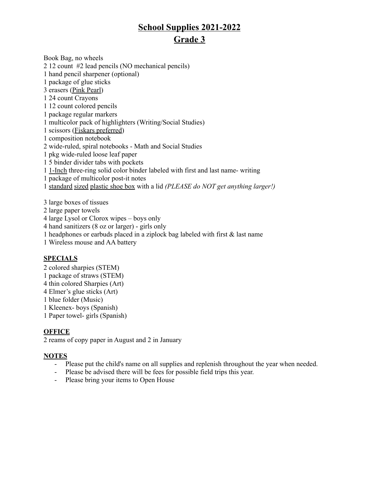Book Bag, no wheels 12 count #2 lead pencils (NO mechanical pencils) hand pencil sharpener (optional) package of glue sticks erasers (Pink Pearl) 24 count Crayons 12 count colored pencils package regular markers multicolor pack of highlighters (Writing/Social Studies) scissors (Fiskars preferred) composition notebook wide-ruled, spiral notebooks - Math and Social Studies pkg wide-ruled loose leaf paper 5 binder divider tabs with pockets 1-Inch three-ring solid color binder labeled with first and last name- writing package of multicolor post-it notes standard sized plastic shoe box with a lid *(PLEASE do NOT get anything larger!)* large boxes of tissues

- large paper towels
- large Lysol or Clorox wipes boys only
- hand sanitizers (8 oz or larger) girls only
- headphones or earbuds placed in a ziplock bag labeled with first & last name

Wireless mouse and AA battery

#### **SPECIALS**

- colored sharpies (STEM)
- package of straws (STEM)
- thin colored Sharpies (Art)
- Elmer's glue sticks (Art)
- blue folder (Music)
- Kleenex- boys (Spanish)
- Paper towel- girls (Spanish)

#### **OFFICE**

reams of copy paper in August and 2 in January

- Please put the child's name on all supplies and replenish throughout the year when needed.
- Please be advised there will be fees for possible field trips this year.
- Please bring your items to Open House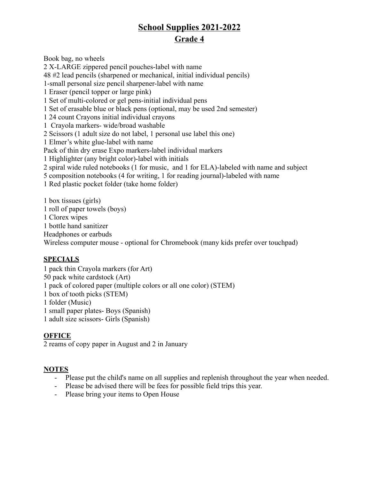Book bag, no wheels 2 X-LARGE zippered pencil pouches-label with name 48 #2 lead pencils (sharpened or mechanical, initial individual pencils) 1-small personal size pencil sharpener-label with name 1 Eraser (pencil topper or large pink) 1 Set of multi-colored or gel pens-initial individual pens 1 Set of erasable blue or black pens (optional, may be used 2nd semester) 1 24 count Crayons initial individual crayons 1 Crayola markers- wide/broad washable 2 Scissors (1 adult size do not label, 1 personal use label this one) 1 Elmer's white glue-label with name Pack of thin dry erase Expo markers-label individual markers 1 Highlighter (any bright color)-label with initials 2 spiral wide ruled notebooks (1 for music, and 1 for ELA)-labeled with name and subject 5 composition notebooks (4 for writing, 1 for reading journal)-labeled with name 1 Red plastic pocket folder (take home folder) 1 box tissues (girls) 1 roll of paper towels (boys) 1 Clorex wipes

1 bottle hand sanitizer

Headphones or earbuds

Wireless computer mouse - optional for Chromebook (many kids prefer over touchpad)

## **SPECIALS**

1 pack thin Crayola markers (for Art) 50 pack white cardstock (Art) 1 pack of colored paper (multiple colors or all one color) (STEM) 1 box of tooth picks (STEM) 1 folder (Music) 1 small paper plates- Boys (Spanish)

1 adult size scissors- Girls (Spanish)

## **OFFICE**

2 reams of copy paper in August and 2 in January

- Please put the child's name on all supplies and replenish throughout the year when needed.
- Please be advised there will be fees for possible field trips this year.
- Please bring your items to Open House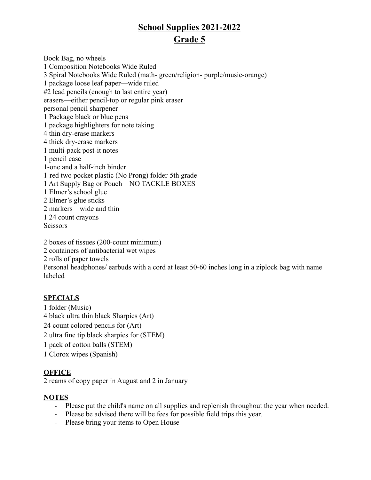Book Bag, no wheels 1 Composition Notebooks Wide Ruled 3 Spiral Notebooks Wide Ruled (math- green/religion- purple/music-orange) 1 package loose leaf paper—wide ruled #2 lead pencils (enough to last entire year) erasers—either pencil-top or regular pink eraser personal pencil sharpener 1 Package black or blue pens 1 package highlighters for note taking 4 thin dry-erase markers 4 thick dry-erase markers 1 multi-pack post-it notes 1 pencil case 1-one and a half-inch binder 1-red two pocket plastic (No Prong) folder-5th grade 1 Art Supply Bag or Pouch—NO TACKLE BOXES 1 Elmer's school glue 2 Elmer's glue sticks 2 markers—wide and thin 1 24 count crayons **Scissors** 

2 boxes of tissues (200-count minimum) 2 containers of antibacterial wet wipes 2 rolls of paper towels Personal headphones/ earbuds with a cord at least 50-60 inches long in a ziplock bag with name labeled

### **SPECIALS**

1 folder (Music) 4 black ultra thin black Sharpies (Art) 24 count colored pencils for (Art) 2 ultra fine tip black sharpies for (STEM) 1 pack of cotton balls (STEM) 1 Clorox wipes (Spanish)

## **OFFICE**

2 reams of copy paper in August and 2 in January

- Please put the child's name on all supplies and replenish throughout the year when needed.
- Please be advised there will be fees for possible field trips this year.
- Please bring your items to Open House